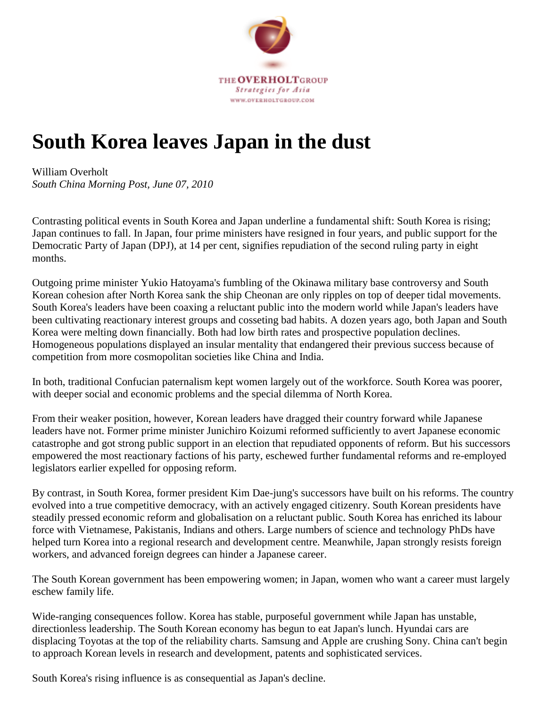

## **South Korea leaves Japan in the dust**

## William Overholt *South China Morning Post, June 07, 2010*

Contrasting political events in South Korea and Japan underline a fundamental shift: South Korea is rising; Japan continues to fall. In Japan, four prime ministers have resigned in four years, and public support for the Democratic Party of Japan (DPJ), at 14 per cent, signifies repudiation of the second ruling party in eight months.

Outgoing prime minister Yukio Hatoyama's fumbling of the Okinawa military base controversy and South Korean cohesion after North Korea sank the ship Cheonan are only ripples on top of deeper tidal movements. South Korea's leaders have been coaxing a reluctant public into the modern world while Japan's leaders have been cultivating reactionary interest groups and cosseting bad habits. A dozen years ago, both Japan and South Korea were melting down financially. Both had low birth rates and prospective population declines. Homogeneous populations displayed an insular mentality that endangered their previous success because of competition from more cosmopolitan societies like China and India.

In both, traditional Confucian paternalism kept women largely out of the workforce. South Korea was poorer, with deeper social and economic problems and the special dilemma of North Korea.

From their weaker position, however, Korean leaders have dragged their country forward while Japanese leaders have not. Former prime minister Junichiro Koizumi reformed sufficiently to avert Japanese economic catastrophe and got strong public support in an election that repudiated opponents of reform. But his successors empowered the most reactionary factions of his party, eschewed further fundamental reforms and re-employed legislators earlier expelled for opposing reform.

By contrast, in South Korea, former president Kim Dae-jung's successors have built on his reforms. The country evolved into a true competitive democracy, with an actively engaged citizenry. South Korean presidents have steadily pressed economic reform and globalisation on a reluctant public. South Korea has enriched its labour force with Vietnamese, Pakistanis, Indians and others. Large numbers of science and technology PhDs have helped turn Korea into a regional research and development centre. Meanwhile, Japan strongly resists foreign workers, and advanced foreign degrees can hinder a Japanese career.

The South Korean government has been empowering women; in Japan, women who want a career must largely eschew family life.

Wide-ranging consequences follow. Korea has stable, purposeful government while Japan has unstable, directionless leadership. The South Korean economy has begun to eat Japan's lunch. Hyundai cars are displacing Toyotas at the top of the reliability charts. Samsung and Apple are crushing Sony. China can't begin to approach Korean levels in research and development, patents and sophisticated services.

South Korea's rising influence is as consequential as Japan's decline.